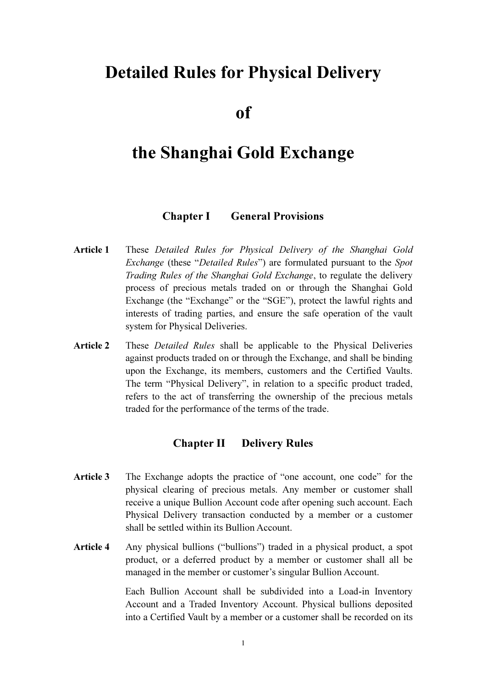# Detailed Rules for Physical Delivery

of

# the Shanghai Gold Exchange

#### Chapter I General Provisions

- Article 1 These Detailed Rules for Physical Delivery of the Shanghai Gold Exchange (these "Detailed Rules") are formulated pursuant to the Spot Trading Rules of the Shanghai Gold Exchange, to regulate the delivery process of precious metals traded on or through the Shanghai Gold Exchange (the "Exchange" or the "SGE"), protect the lawful rights and interests of trading parties, and ensure the safe operation of the vault system for Physical Deliveries.
- Article 2 These *Detailed Rules* shall be applicable to the Physical Deliveries against products traded on or through the Exchange, and shall be binding upon the Exchange, its members, customers and the Certified Vaults. The term "Physical Delivery", in relation to a specific product traded, refers to the act of transferring the ownership of the precious metals traded for the performance of the terms of the trade.

### Chapter II Delivery Rules

- Article 3 The Exchange adopts the practice of "one account, one code" for the physical clearing of precious metals. Any member or customer shall receive a unique Bullion Account code after opening such account. Each Physical Delivery transaction conducted by a member or a customer shall be settled within its Bullion Account.
- Article 4 Any physical bullions ("bullions") traded in a physical product, a spot product, or a deferred product by a member or customer shall all be managed in the member or customer's singular Bullion Account.

 Each Bullion Account shall be subdivided into a Load-in Inventory Account and a Traded Inventory Account. Physical bullions deposited into a Certified Vault by a member or a customer shall be recorded on its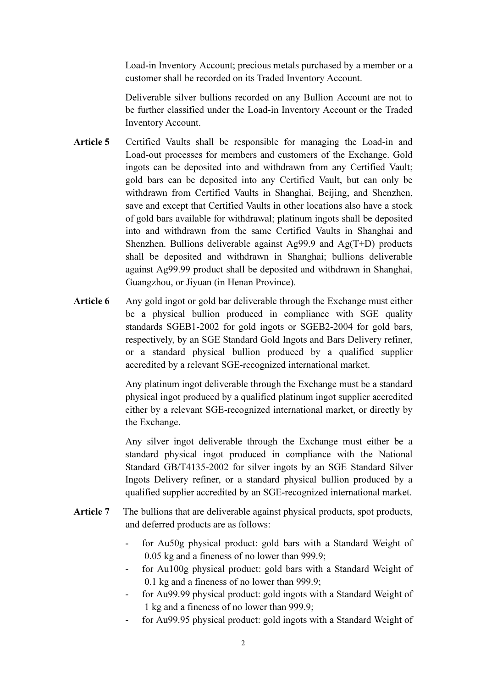Load-in Inventory Account; precious metals purchased by a member or a customer shall be recorded on its Traded Inventory Account.

 Deliverable silver bullions recorded on any Bullion Account are not to be further classified under the Load-in Inventory Account or the Traded Inventory Account.

- Article 5 Certified Vaults shall be responsible for managing the Load-in and Load-out processes for members and customers of the Exchange. Gold ingots can be deposited into and withdrawn from any Certified Vault; gold bars can be deposited into any Certified Vault, but can only be withdrawn from Certified Vaults in Shanghai, Beijing, and Shenzhen, save and except that Certified Vaults in other locations also have a stock of gold bars available for withdrawal; platinum ingots shall be deposited into and withdrawn from the same Certified Vaults in Shanghai and Shenzhen. Bullions deliverable against Ag99.9 and Ag(T+D) products shall be deposited and withdrawn in Shanghai; bullions deliverable against Ag99.99 product shall be deposited and withdrawn in Shanghai, Guangzhou, or Jiyuan (in Henan Province).
- Article 6 Any gold ingot or gold bar deliverable through the Exchange must either be a physical bullion produced in compliance with SGE quality standards SGEB1-2002 for gold ingots or SGEB2-2004 for gold bars, respectively, by an SGE Standard Gold Ingots and Bars Delivery refiner, or a standard physical bullion produced by a qualified supplier accredited by a relevant SGE-recognized international market.

 Any platinum ingot deliverable through the Exchange must be a standard physical ingot produced by a qualified platinum ingot supplier accredited either by a relevant SGE-recognized international market, or directly by the Exchange.

 Any silver ingot deliverable through the Exchange must either be a standard physical ingot produced in compliance with the National Standard GB/T4135-2002 for silver ingots by an SGE Standard Silver Ingots Delivery refiner, or a standard physical bullion produced by a qualified supplier accredited by an SGE-recognized international market.

- Article 7 The bullions that are deliverable against physical products, spot products, and deferred products are as follows:
	- for Au50g physical product: gold bars with a Standard Weight of 0.05 kg and a fineness of no lower than 999.9;
	- for Au100g physical product: gold bars with a Standard Weight of 0.1 kg and a fineness of no lower than 999.9;
	- for Au99.99 physical product: gold ingots with a Standard Weight of 1 kg and a fineness of no lower than 999.9;
	- for Au99.95 physical product: gold ingots with a Standard Weight of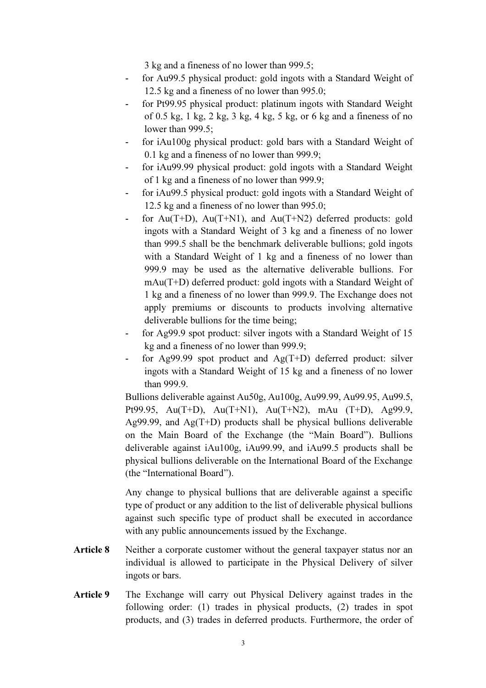3 kg and a fineness of no lower than 999.5;

- for Au99.5 physical product: gold ingots with a Standard Weight of 12.5 kg and a fineness of no lower than 995.0;
- for Pt99.95 physical product: platinum ingots with Standard Weight of 0.5 kg, 1 kg, 2 kg, 3 kg, 4 kg, 5 kg, or 6 kg and a fineness of no lower than 999.5;
- for iAu100g physical product: gold bars with a Standard Weight of 0.1 kg and a fineness of no lower than 999.9;
- for iAu99.99 physical product: gold ingots with a Standard Weight of 1 kg and a fineness of no lower than 999.9;
- for iAu99.5 physical product: gold ingots with a Standard Weight of 12.5 kg and a fineness of no lower than 995.0;
- for Au(T+D), Au(T+N1), and Au(T+N2) deferred products: gold ingots with a Standard Weight of 3 kg and a fineness of no lower than 999.5 shall be the benchmark deliverable bullions; gold ingots with a Standard Weight of 1 kg and a fineness of no lower than 999.9 may be used as the alternative deliverable bullions. For mAu(T+D) deferred product: gold ingots with a Standard Weight of 1 kg and a fineness of no lower than 999.9. The Exchange does not apply premiums or discounts to products involving alternative deliverable bullions for the time being;
- for Ag99.9 spot product: silver ingots with a Standard Weight of 15 kg and a fineness of no lower than 999.9;
- for Ag99.99 spot product and  $Ag(T+D)$  deferred product: silver ingots with a Standard Weight of 15 kg and a fineness of no lower than 999.9.

 Bullions deliverable against Au50g, Au100g, Au99.99, Au99.95, Au99.5, Pt99.95, Au(T+D), Au(T+N1), Au(T+N2), mAu (T+D), Ag99.9, Ag99.99, and  $Ag(T+D)$  products shall be physical bullions deliverable on the Main Board of the Exchange (the "Main Board"). Bullions deliverable against iAu100g, iAu99.99, and iAu99.5 products shall be physical bullions deliverable on the International Board of the Exchange (the "International Board").

 Any change to physical bullions that are deliverable against a specific type of product or any addition to the list of deliverable physical bullions against such specific type of product shall be executed in accordance with any public announcements issued by the Exchange.

- Article 8 Neither a corporate customer without the general taxpayer status nor an individual is allowed to participate in the Physical Delivery of silver ingots or bars.
- Article 9 The Exchange will carry out Physical Delivery against trades in the following order: (1) trades in physical products, (2) trades in spot products, and (3) trades in deferred products. Furthermore, the order of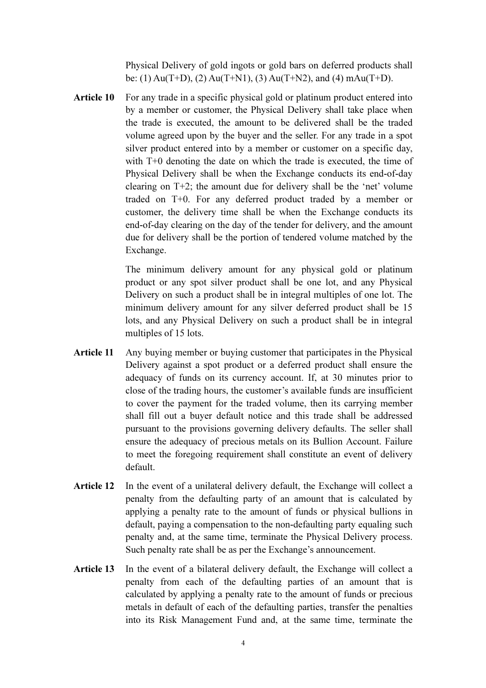Physical Delivery of gold ingots or gold bars on deferred products shall be: (1) Au(T+D), (2) Au(T+N1), (3) Au(T+N2), and (4) mAu(T+D).

Article 10 For any trade in a specific physical gold or platinum product entered into by a member or customer, the Physical Delivery shall take place when the trade is executed, the amount to be delivered shall be the traded volume agreed upon by the buyer and the seller. For any trade in a spot silver product entered into by a member or customer on a specific day, with T+0 denoting the date on which the trade is executed, the time of Physical Delivery shall be when the Exchange conducts its end-of-day clearing on T+2; the amount due for delivery shall be the 'net' volume traded on T+0. For any deferred product traded by a member or customer, the delivery time shall be when the Exchange conducts its end-of-day clearing on the day of the tender for delivery, and the amount due for delivery shall be the portion of tendered volume matched by the Exchange.

> The minimum delivery amount for any physical gold or platinum product or any spot silver product shall be one lot, and any Physical Delivery on such a product shall be in integral multiples of one lot. The minimum delivery amount for any silver deferred product shall be 15 lots, and any Physical Delivery on such a product shall be in integral multiples of 15 lots.

- Article 11 Any buying member or buying customer that participates in the Physical Delivery against a spot product or a deferred product shall ensure the adequacy of funds on its currency account. If, at 30 minutes prior to close of the trading hours, the customer's available funds are insufficient to cover the payment for the traded volume, then its carrying member shall fill out a buyer default notice and this trade shall be addressed pursuant to the provisions governing delivery defaults. The seller shall ensure the adequacy of precious metals on its Bullion Account. Failure to meet the foregoing requirement shall constitute an event of delivery default.
- Article 12 In the event of a unilateral delivery default, the Exchange will collect a penalty from the defaulting party of an amount that is calculated by applying a penalty rate to the amount of funds or physical bullions in default, paying a compensation to the non-defaulting party equaling such penalty and, at the same time, terminate the Physical Delivery process. Such penalty rate shall be as per the Exchange's announcement.
- Article 13 In the event of a bilateral delivery default, the Exchange will collect a penalty from each of the defaulting parties of an amount that is calculated by applying a penalty rate to the amount of funds or precious metals in default of each of the defaulting parties, transfer the penalties into its Risk Management Fund and, at the same time, terminate the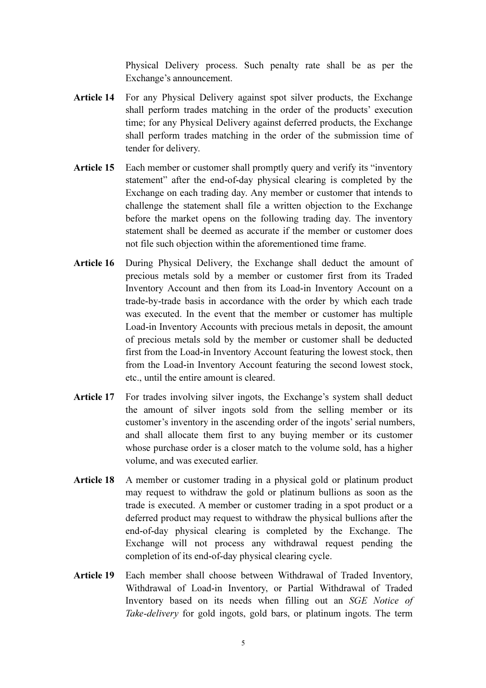Physical Delivery process. Such penalty rate shall be as per the Exchange's announcement.

- Article 14 For any Physical Delivery against spot silver products, the Exchange shall perform trades matching in the order of the products' execution time; for any Physical Delivery against deferred products, the Exchange shall perform trades matching in the order of the submission time of tender for delivery.
- Article 15 Each member or customer shall promptly query and verify its "inventory" statement" after the end-of-day physical clearing is completed by the Exchange on each trading day. Any member or customer that intends to challenge the statement shall file a written objection to the Exchange before the market opens on the following trading day. The inventory statement shall be deemed as accurate if the member or customer does not file such objection within the aforementioned time frame.
- Article 16 During Physical Delivery, the Exchange shall deduct the amount of precious metals sold by a member or customer first from its Traded Inventory Account and then from its Load-in Inventory Account on a trade-by-trade basis in accordance with the order by which each trade was executed. In the event that the member or customer has multiple Load-in Inventory Accounts with precious metals in deposit, the amount of precious metals sold by the member or customer shall be deducted first from the Load-in Inventory Account featuring the lowest stock, then from the Load-in Inventory Account featuring the second lowest stock, etc., until the entire amount is cleared.
- Article 17 For trades involving silver ingots, the Exchange's system shall deduct the amount of silver ingots sold from the selling member or its customer's inventory in the ascending order of the ingots' serial numbers, and shall allocate them first to any buying member or its customer whose purchase order is a closer match to the volume sold, has a higher volume, and was executed earlier.
- Article 18 A member or customer trading in a physical gold or platinum product may request to withdraw the gold or platinum bullions as soon as the trade is executed. A member or customer trading in a spot product or a deferred product may request to withdraw the physical bullions after the end-of-day physical clearing is completed by the Exchange. The Exchange will not process any withdrawal request pending the completion of its end-of-day physical clearing cycle.
- Article 19 Each member shall choose between Withdrawal of Traded Inventory, Withdrawal of Load-in Inventory, or Partial Withdrawal of Traded Inventory based on its needs when filling out an SGE Notice of Take-delivery for gold ingots, gold bars, or platinum ingots. The term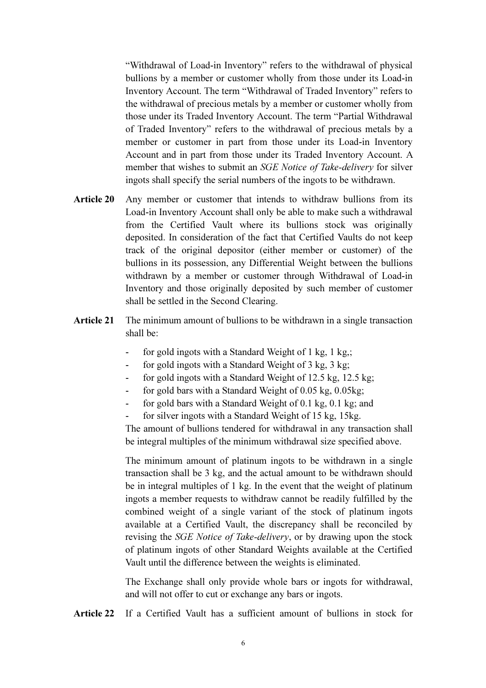"Withdrawal of Load-in Inventory" refers to the withdrawal of physical bullions by a member or customer wholly from those under its Load-in Inventory Account. The term "Withdrawal of Traded Inventory" refers to the withdrawal of precious metals by a member or customer wholly from those under its Traded Inventory Account. The term "Partial Withdrawal of Traded Inventory" refers to the withdrawal of precious metals by a member or customer in part from those under its Load-in Inventory Account and in part from those under its Traded Inventory Account. A member that wishes to submit an SGE Notice of Take-delivery for silver ingots shall specify the serial numbers of the ingots to be withdrawn.

- Article 20 Any member or customer that intends to withdraw bullions from its Load-in Inventory Account shall only be able to make such a withdrawal from the Certified Vault where its bullions stock was originally deposited. In consideration of the fact that Certified Vaults do not keep track of the original depositor (either member or customer) of the bullions in its possession, any Differential Weight between the bullions withdrawn by a member or customer through Withdrawal of Load-in Inventory and those originally deposited by such member of customer shall be settled in the Second Clearing.
- Article 21 The minimum amount of bullions to be withdrawn in a single transaction shall be:
	- for gold ingots with a Standard Weight of 1 kg, 1 kg,;
	- for gold ingots with a Standard Weight of 3 kg, 3 kg;
	- for gold ingots with a Standard Weight of 12.5 kg, 12.5 kg;
	- for gold bars with a Standard Weight of 0.05 kg, 0.05kg;
	- for gold bars with a Standard Weight of  $0.1 \text{ kg}$ ,  $0.1 \text{ kg}$ ; and
	- for silver ingots with a Standard Weight of 15 kg, 15kg.

 The amount of bullions tendered for withdrawal in any transaction shall be integral multiples of the minimum withdrawal size specified above.

 The minimum amount of platinum ingots to be withdrawn in a single transaction shall be 3 kg, and the actual amount to be withdrawn should be in integral multiples of 1 kg. In the event that the weight of platinum ingots a member requests to withdraw cannot be readily fulfilled by the combined weight of a single variant of the stock of platinum ingots available at a Certified Vault, the discrepancy shall be reconciled by revising the SGE Notice of Take-delivery, or by drawing upon the stock of platinum ingots of other Standard Weights available at the Certified Vault until the difference between the weights is eliminated.

 The Exchange shall only provide whole bars or ingots for withdrawal, and will not offer to cut or exchange any bars or ingots.

Article 22 If a Certified Vault has a sufficient amount of bullions in stock for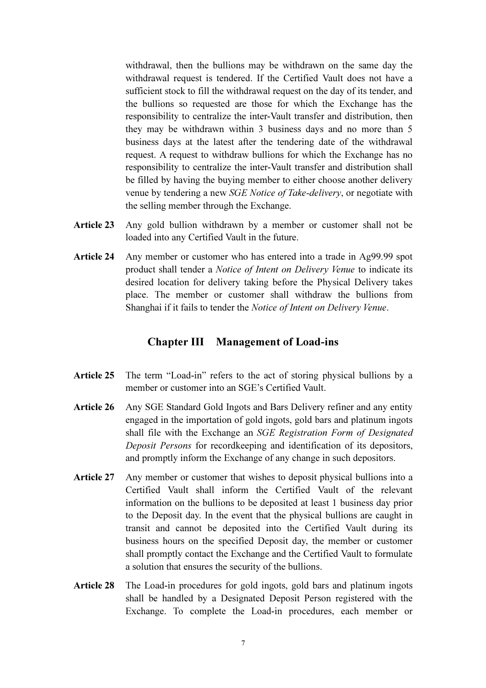withdrawal, then the bullions may be withdrawn on the same day the withdrawal request is tendered. If the Certified Vault does not have a sufficient stock to fill the withdrawal request on the day of its tender, and the bullions so requested are those for which the Exchange has the responsibility to centralize the inter-Vault transfer and distribution, then they may be withdrawn within 3 business days and no more than 5 business days at the latest after the tendering date of the withdrawal request. A request to withdraw bullions for which the Exchange has no responsibility to centralize the inter-Vault transfer and distribution shall be filled by having the buying member to either choose another delivery venue by tendering a new SGE Notice of Take-delivery, or negotiate with the selling member through the Exchange.

- Article 23 Any gold bullion withdrawn by a member or customer shall not be loaded into any Certified Vault in the future.
- Article 24 Any member or customer who has entered into a trade in Ag99.99 spot product shall tender a Notice of Intent on Delivery Venue to indicate its desired location for delivery taking before the Physical Delivery takes place. The member or customer shall withdraw the bullions from Shanghai if it fails to tender the Notice of Intent on Delivery Venue.

### Chapter III Management of Load-ins

- Article 25 The term "Load-in" refers to the act of storing physical bullions by a member or customer into an SGE's Certified Vault.
- Article 26 Any SGE Standard Gold Ingots and Bars Delivery refiner and any entity engaged in the importation of gold ingots, gold bars and platinum ingots shall file with the Exchange an SGE Registration Form of Designated Deposit Persons for recordkeeping and identification of its depositors, and promptly inform the Exchange of any change in such depositors.
- Article 27 Any member or customer that wishes to deposit physical bullions into a Certified Vault shall inform the Certified Vault of the relevant information on the bullions to be deposited at least 1 business day prior to the Deposit day. In the event that the physical bullions are caught in transit and cannot be deposited into the Certified Vault during its business hours on the specified Deposit day, the member or customer shall promptly contact the Exchange and the Certified Vault to formulate a solution that ensures the security of the bullions.
- Article 28 The Load-in procedures for gold ingots, gold bars and platinum ingots shall be handled by a Designated Deposit Person registered with the Exchange. To complete the Load-in procedures, each member or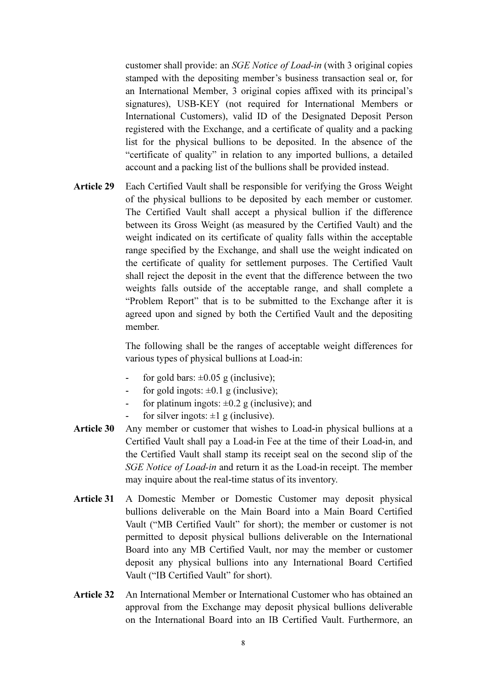customer shall provide: an SGE Notice of Load-in (with 3 original copies stamped with the depositing member's business transaction seal or, for an International Member, 3 original copies affixed with its principal's signatures), USB-KEY (not required for International Members or International Customers), valid ID of the Designated Deposit Person registered with the Exchange, and a certificate of quality and a packing list for the physical bullions to be deposited. In the absence of the "certificate of quality" in relation to any imported bullions, a detailed account and a packing list of the bullions shall be provided instead.

Article 29 Each Certified Vault shall be responsible for verifying the Gross Weight of the physical bullions to be deposited by each member or customer. The Certified Vault shall accept a physical bullion if the difference between its Gross Weight (as measured by the Certified Vault) and the weight indicated on its certificate of quality falls within the acceptable range specified by the Exchange, and shall use the weight indicated on the certificate of quality for settlement purposes. The Certified Vault shall reject the deposit in the event that the difference between the two weights falls outside of the acceptable range, and shall complete a "Problem Report" that is to be submitted to the Exchange after it is agreed upon and signed by both the Certified Vault and the depositing member.

> The following shall be the ranges of acceptable weight differences for various types of physical bullions at Load-in:

- for gold bars:  $\pm 0.05$  g (inclusive);
- for gold ingots:  $\pm 0.1$  g (inclusive);
- for platinum ingots:  $\pm 0.2$  g (inclusive); and
- for silver ingots:  $\pm 1$  g (inclusive).
- Article 30 Any member or customer that wishes to Load-in physical bullions at a Certified Vault shall pay a Load-in Fee at the time of their Load-in, and the Certified Vault shall stamp its receipt seal on the second slip of the SGE Notice of Load-in and return it as the Load-in receipt. The member may inquire about the real-time status of its inventory.
- Article 31 A Domestic Member or Domestic Customer may deposit physical bullions deliverable on the Main Board into a Main Board Certified Vault ("MB Certified Vault" for short); the member or customer is not permitted to deposit physical bullions deliverable on the International Board into any MB Certified Vault, nor may the member or customer deposit any physical bullions into any International Board Certified Vault ("IB Certified Vault" for short).
- Article 32 An International Member or International Customer who has obtained an approval from the Exchange may deposit physical bullions deliverable on the International Board into an IB Certified Vault. Furthermore, an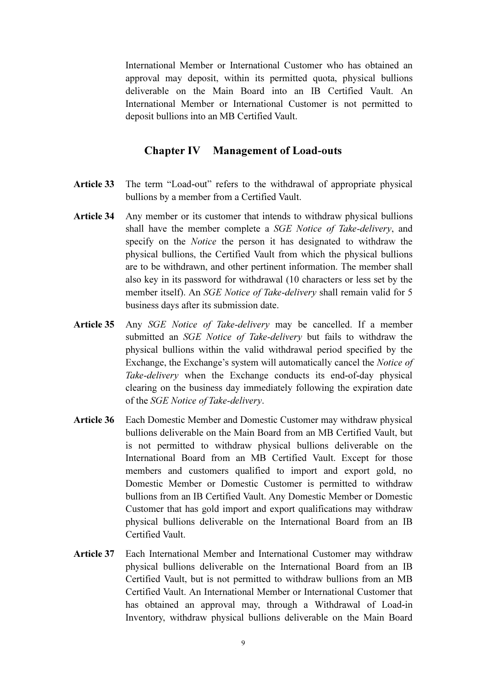International Member or International Customer who has obtained an approval may deposit, within its permitted quota, physical bullions deliverable on the Main Board into an IB Certified Vault. An International Member or International Customer is not permitted to deposit bullions into an MB Certified Vault.

#### Chapter IV Management of Load-outs

- Article 33 The term "Load-out" refers to the withdrawal of appropriate physical bullions by a member from a Certified Vault.
- Article 34 Any member or its customer that intends to withdraw physical bullions shall have the member complete a SGE Notice of Take-delivery, and specify on the Notice the person it has designated to withdraw the physical bullions, the Certified Vault from which the physical bullions are to be withdrawn, and other pertinent information. The member shall also key in its password for withdrawal (10 characters or less set by the member itself). An SGE Notice of Take-delivery shall remain valid for 5 business days after its submission date.
- Article 35 Any SGE Notice of Take-delivery may be cancelled. If a member submitted an *SGE Notice of Take-delivery* but fails to withdraw the physical bullions within the valid withdrawal period specified by the Exchange, the Exchange's system will automatically cancel the Notice of Take-delivery when the Exchange conducts its end-of-day physical clearing on the business day immediately following the expiration date of the SGE Notice of Take-delivery.
- Article 36 Each Domestic Member and Domestic Customer may withdraw physical bullions deliverable on the Main Board from an MB Certified Vault, but is not permitted to withdraw physical bullions deliverable on the International Board from an MB Certified Vault. Except for those members and customers qualified to import and export gold, no Domestic Member or Domestic Customer is permitted to withdraw bullions from an IB Certified Vault. Any Domestic Member or Domestic Customer that has gold import and export qualifications may withdraw physical bullions deliverable on the International Board from an IB Certified Vault.
- Article 37 Each International Member and International Customer may withdraw physical bullions deliverable on the International Board from an IB Certified Vault, but is not permitted to withdraw bullions from an MB Certified Vault. An International Member or International Customer that has obtained an approval may, through a Withdrawal of Load-in Inventory, withdraw physical bullions deliverable on the Main Board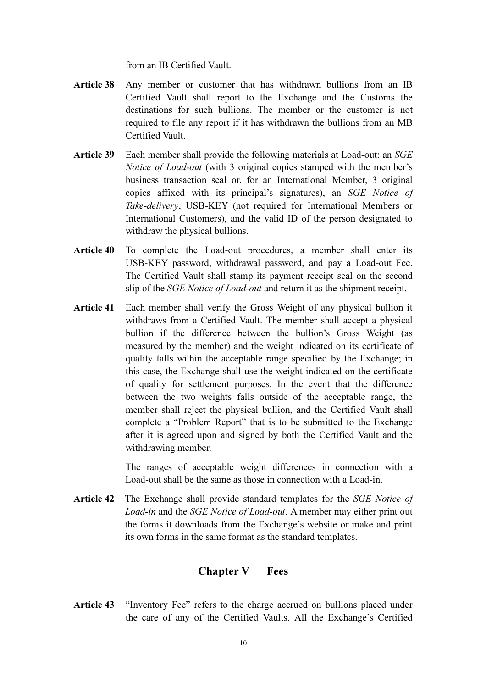from an IB Certified Vault.

- Article 38 Any member or customer that has withdrawn bullions from an IB Certified Vault shall report to the Exchange and the Customs the destinations for such bullions. The member or the customer is not required to file any report if it has withdrawn the bullions from an MB Certified Vault.
- Article 39 Each member shall provide the following materials at Load-out: an SGE Notice of Load-out (with 3 original copies stamped with the member's business transaction seal or, for an International Member, 3 original copies affixed with its principal's signatures), an SGE Notice of Take-delivery, USB-KEY (not required for International Members or International Customers), and the valid ID of the person designated to withdraw the physical bullions.
- Article 40 To complete the Load-out procedures, a member shall enter its USB-KEY password, withdrawal password, and pay a Load-out Fee. The Certified Vault shall stamp its payment receipt seal on the second slip of the *SGE Notice of Load-out* and return it as the shipment receipt.
- Article 41 Each member shall verify the Gross Weight of any physical bullion it withdraws from a Certified Vault. The member shall accept a physical bullion if the difference between the bullion's Gross Weight (as measured by the member) and the weight indicated on its certificate of quality falls within the acceptable range specified by the Exchange; in this case, the Exchange shall use the weight indicated on the certificate of quality for settlement purposes. In the event that the difference between the two weights falls outside of the acceptable range, the member shall reject the physical bullion, and the Certified Vault shall complete a "Problem Report" that is to be submitted to the Exchange after it is agreed upon and signed by both the Certified Vault and the withdrawing member.

 The ranges of acceptable weight differences in connection with a Load-out shall be the same as those in connection with a Load-in.

Article 42 The Exchange shall provide standard templates for the SGE Notice of Load-in and the SGE Notice of Load-out. A member may either print out the forms it downloads from the Exchange's website or make and print its own forms in the same format as the standard templates.

# Chapter V Fees

Article 43 "Inventory Fee" refers to the charge accrued on bullions placed under the care of any of the Certified Vaults. All the Exchange's Certified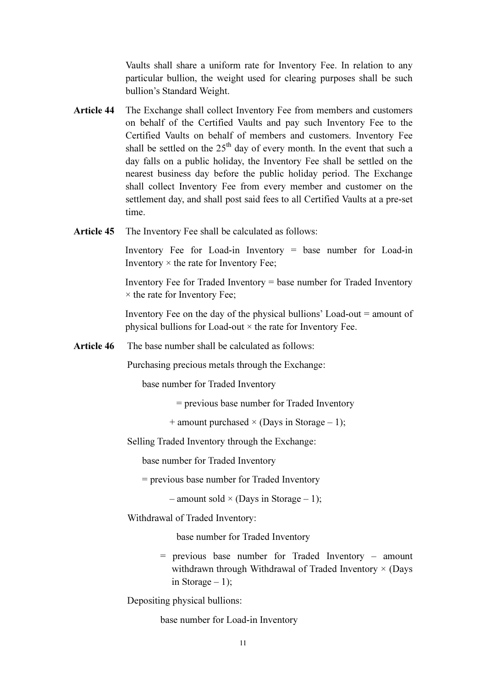Vaults shall share a uniform rate for Inventory Fee. In relation to any particular bullion, the weight used for clearing purposes shall be such bullion's Standard Weight.

- Article 44 The Exchange shall collect Inventory Fee from members and customers on behalf of the Certified Vaults and pay such Inventory Fee to the Certified Vaults on behalf of members and customers. Inventory Fee shall be settled on the  $25<sup>th</sup>$  day of every month. In the event that such a day falls on a public holiday, the Inventory Fee shall be settled on the nearest business day before the public holiday period. The Exchange shall collect Inventory Fee from every member and customer on the settlement day, and shall post said fees to all Certified Vaults at a pre-set time.
- Article 45 The Inventory Fee shall be calculated as follows:

 Inventory Fee for Load-in Inventory = base number for Load-in Inventory  $\times$  the rate for Inventory Fee;

 Inventory Fee for Traded Inventory = base number for Traded Inventory  $\times$  the rate for Inventory Fee;

 Inventory Fee on the day of the physical bullions' Load-out = amount of physical bullions for Load-out  $\times$  the rate for Inventory Fee.

Article 46 The base number shall be calculated as follows:

Purchasing precious metals through the Exchange:

base number for Traded Inventory

= previous base number for Traded Inventory

+ amount purchased  $\times$  (Days in Storage – 1);

Selling Traded Inventory through the Exchange:

base number for Traded Inventory

= previous base number for Traded Inventory

– amount sold  $\times$  (Days in Storage – 1):

Withdrawal of Traded Inventory:

base number for Traded Inventory

= previous base number for Traded Inventory – amount withdrawn through Withdrawal of Traded Inventory  $\times$  (Days in Storage  $-1$ );

Depositing physical bullions:

base number for Load-in Inventory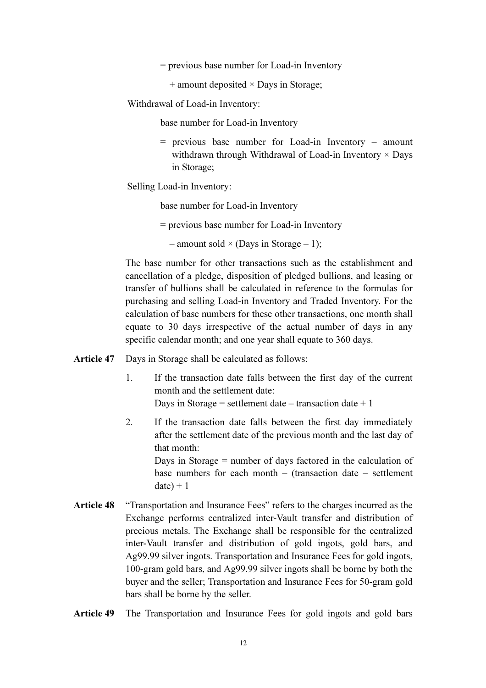- = previous base number for Load-in Inventory
	- $+$  amount deposited  $\times$  Days in Storage;

Withdrawal of Load-in Inventory:

base number for Load-in Inventory

= previous base number for Load-in Inventory – amount withdrawn through Withdrawal of Load-in Inventory  $\times$  Days in Storage;

Selling Load-in Inventory:

base number for Load-in Inventory

= previous base number for Load-in Inventory

– amount sold  $\times$  (Days in Storage – 1);

 The base number for other transactions such as the establishment and cancellation of a pledge, disposition of pledged bullions, and leasing or transfer of bullions shall be calculated in reference to the formulas for purchasing and selling Load-in Inventory and Traded Inventory. For the calculation of base numbers for these other transactions, one month shall equate to 30 days irrespective of the actual number of days in any specific calendar month; and one year shall equate to 360 days.

Article 47 Days in Storage shall be calculated as follows:

- 1. If the transaction date falls between the first day of the current month and the settlement date: Days in Storage = settlement date – transaction date  $+1$
- 2. If the transaction date falls between the first day immediately after the settlement date of the previous month and the last day of that month:

Days in Storage = number of days factored in the calculation of base numbers for each month – (transaction date – settlement  $date$ ) + 1

- Article 48 "Transportation and Insurance Fees" refers to the charges incurred as the Exchange performs centralized inter-Vault transfer and distribution of precious metals. The Exchange shall be responsible for the centralized inter-Vault transfer and distribution of gold ingots, gold bars, and Ag99.99 silver ingots. Transportation and Insurance Fees for gold ingots, 100-gram gold bars, and Ag99.99 silver ingots shall be borne by both the buyer and the seller; Transportation and Insurance Fees for 50-gram gold bars shall be borne by the seller.
- Article 49 The Transportation and Insurance Fees for gold ingots and gold bars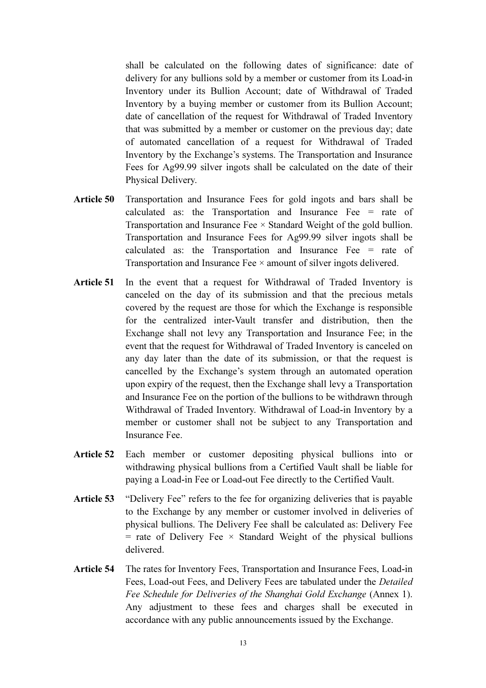shall be calculated on the following dates of significance: date of delivery for any bullions sold by a member or customer from its Load-in Inventory under its Bullion Account; date of Withdrawal of Traded Inventory by a buying member or customer from its Bullion Account; date of cancellation of the request for Withdrawal of Traded Inventory that was submitted by a member or customer on the previous day; date of automated cancellation of a request for Withdrawal of Traded Inventory by the Exchange's systems. The Transportation and Insurance Fees for Ag99.99 silver ingots shall be calculated on the date of their Physical Delivery.

- Article 50 Transportation and Insurance Fees for gold ingots and bars shall be calculated as: the Transportation and Insurance Fee  $=$  rate of Transportation and Insurance Fee  $\times$  Standard Weight of the gold bullion. Transportation and Insurance Fees for Ag99.99 silver ingots shall be calculated as: the Transportation and Insurance Fee = rate of Transportation and Insurance Fee × amount of silver ingots delivered.
- Article 51 In the event that a request for Withdrawal of Traded Inventory is canceled on the day of its submission and that the precious metals covered by the request are those for which the Exchange is responsible for the centralized inter-Vault transfer and distribution, then the Exchange shall not levy any Transportation and Insurance Fee; in the event that the request for Withdrawal of Traded Inventory is canceled on any day later than the date of its submission, or that the request is cancelled by the Exchange's system through an automated operation upon expiry of the request, then the Exchange shall levy a Transportation and Insurance Fee on the portion of the bullions to be withdrawn through Withdrawal of Traded Inventory. Withdrawal of Load-in Inventory by a member or customer shall not be subject to any Transportation and Insurance Fee.
- Article 52 Each member or customer depositing physical bullions into or withdrawing physical bullions from a Certified Vault shall be liable for paying a Load-in Fee or Load-out Fee directly to the Certified Vault.
- Article 53 "Delivery Fee" refers to the fee for organizing deliveries that is payable to the Exchange by any member or customer involved in deliveries of physical bullions. The Delivery Fee shall be calculated as: Delivery Fee  $=$  rate of Delivery Fee  $\times$  Standard Weight of the physical bullions delivered.
- Article 54 The rates for Inventory Fees, Transportation and Insurance Fees, Load-in Fees, Load-out Fees, and Delivery Fees are tabulated under the Detailed Fee Schedule for Deliveries of the Shanghai Gold Exchange (Annex 1). Any adjustment to these fees and charges shall be executed in accordance with any public announcements issued by the Exchange.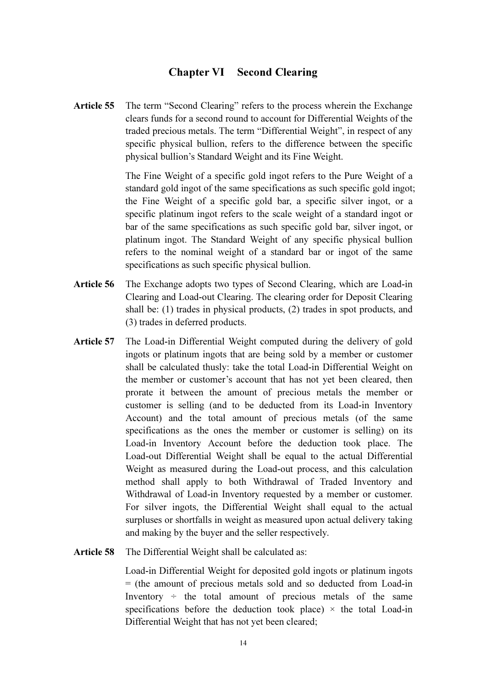#### Chapter VI Second Clearing

Article 55 The term "Second Clearing" refers to the process wherein the Exchange clears funds for a second round to account for Differential Weights of the traded precious metals. The term "Differential Weight", in respect of any specific physical bullion, refers to the difference between the specific physical bullion's Standard Weight and its Fine Weight.

> The Fine Weight of a specific gold ingot refers to the Pure Weight of a standard gold ingot of the same specifications as such specific gold ingot; the Fine Weight of a specific gold bar, a specific silver ingot, or a specific platinum ingot refers to the scale weight of a standard ingot or bar of the same specifications as such specific gold bar, silver ingot, or platinum ingot. The Standard Weight of any specific physical bullion refers to the nominal weight of a standard bar or ingot of the same specifications as such specific physical bullion.

- Article 56 The Exchange adopts two types of Second Clearing, which are Load-in Clearing and Load-out Clearing. The clearing order for Deposit Clearing shall be: (1) trades in physical products, (2) trades in spot products, and (3) trades in deferred products.
- Article 57 The Load-in Differential Weight computed during the delivery of gold ingots or platinum ingots that are being sold by a member or customer shall be calculated thusly: take the total Load-in Differential Weight on the member or customer's account that has not yet been cleared, then prorate it between the amount of precious metals the member or customer is selling (and to be deducted from its Load-in Inventory Account) and the total amount of precious metals (of the same specifications as the ones the member or customer is selling) on its Load-in Inventory Account before the deduction took place. The Load-out Differential Weight shall be equal to the actual Differential Weight as measured during the Load-out process, and this calculation method shall apply to both Withdrawal of Traded Inventory and Withdrawal of Load-in Inventory requested by a member or customer. For silver ingots, the Differential Weight shall equal to the actual surpluses or shortfalls in weight as measured upon actual delivery taking and making by the buyer and the seller respectively.
- Article 58 The Differential Weight shall be calculated as:

 Load-in Differential Weight for deposited gold ingots or platinum ingots = (the amount of precious metals sold and so deducted from Load-in Inventory  $\div$  the total amount of precious metals of the same specifications before the deduction took place)  $\times$  the total Load-in Differential Weight that has not yet been cleared;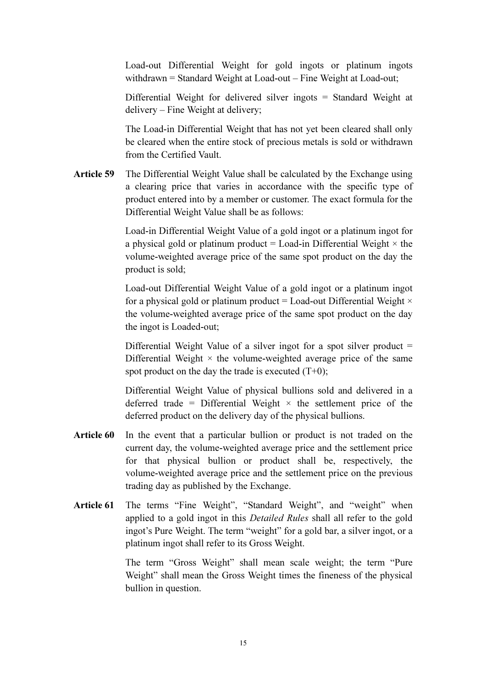Load-out Differential Weight for gold ingots or platinum ingots withdrawn = Standard Weight at Load-out – Fine Weight at Load-out;

 Differential Weight for delivered silver ingots = Standard Weight at delivery – Fine Weight at delivery;

 The Load-in Differential Weight that has not yet been cleared shall only be cleared when the entire stock of precious metals is sold or withdrawn from the Certified Vault.

Article 59 The Differential Weight Value shall be calculated by the Exchange using a clearing price that varies in accordance with the specific type of product entered into by a member or customer. The exact formula for the Differential Weight Value shall be as follows:

> Load-in Differential Weight Value of a gold ingot or a platinum ingot for a physical gold or platinum product = Load-in Differential Weight  $\times$  the volume-weighted average price of the same spot product on the day the product is sold;

> Load-out Differential Weight Value of a gold ingot or a platinum ingot for a physical gold or platinum product = Load-out Differential Weight  $\times$ the volume-weighted average price of the same spot product on the day the ingot is Loaded-out;

> Differential Weight Value of a silver ingot for a spot silver product  $=$ Differential Weight  $\times$  the volume-weighted average price of the same spot product on the day the trade is executed  $(T+0)$ :

> Differential Weight Value of physical bullions sold and delivered in a deferred trade = Differential Weight  $\times$  the settlement price of the deferred product on the delivery day of the physical bullions.

- Article 60 In the event that a particular bullion or product is not traded on the current day, the volume-weighted average price and the settlement price for that physical bullion or product shall be, respectively, the volume-weighted average price and the settlement price on the previous trading day as published by the Exchange.
- Article 61 The terms "Fine Weight", "Standard Weight", and "weight" when applied to a gold ingot in this Detailed Rules shall all refer to the gold ingot's Pure Weight. The term "weight" for a gold bar, a silver ingot, or a platinum ingot shall refer to its Gross Weight.

 The term "Gross Weight" shall mean scale weight; the term "Pure Weight" shall mean the Gross Weight times the fineness of the physical bullion in question.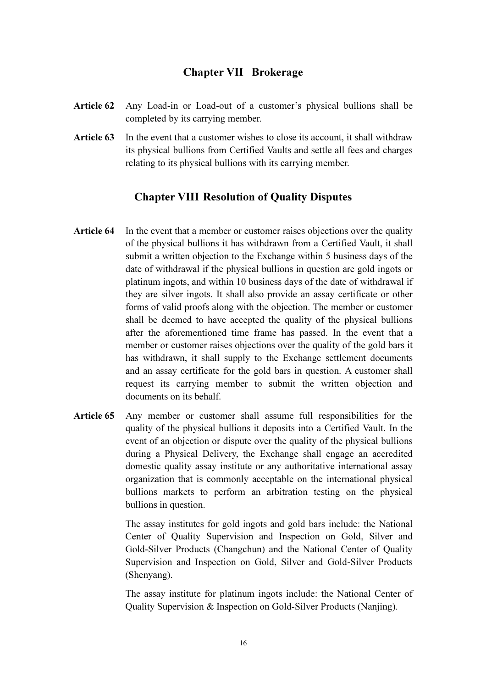## Chapter VII Brokerage

- Article 62 Any Load-in or Load-out of a customer's physical bullions shall be completed by its carrying member.
- Article 63 In the event that a customer wishes to close its account, it shall withdraw its physical bullions from Certified Vaults and settle all fees and charges relating to its physical bullions with its carrying member.

# Chapter VIII Resolution of Quality Disputes

- Article 64 In the event that a member or customer raises objections over the quality of the physical bullions it has withdrawn from a Certified Vault, it shall submit a written objection to the Exchange within 5 business days of the date of withdrawal if the physical bullions in question are gold ingots or platinum ingots, and within 10 business days of the date of withdrawal if they are silver ingots. It shall also provide an assay certificate or other forms of valid proofs along with the objection. The member or customer shall be deemed to have accepted the quality of the physical bullions after the aforementioned time frame has passed. In the event that a member or customer raises objections over the quality of the gold bars it has withdrawn, it shall supply to the Exchange settlement documents and an assay certificate for the gold bars in question. A customer shall request its carrying member to submit the written objection and documents on its behalf.
- Article 65 Any member or customer shall assume full responsibilities for the quality of the physical bullions it deposits into a Certified Vault. In the event of an objection or dispute over the quality of the physical bullions during a Physical Delivery, the Exchange shall engage an accredited domestic quality assay institute or any authoritative international assay organization that is commonly acceptable on the international physical bullions markets to perform an arbitration testing on the physical bullions in question.

 The assay institutes for gold ingots and gold bars include: the National Center of Quality Supervision and Inspection on Gold, Silver and Gold-Silver Products (Changchun) and the National Center of Quality Supervision and Inspection on Gold, Silver and Gold-Silver Products (Shenyang).

 The assay institute for platinum ingots include: the National Center of Quality Supervision & Inspection on Gold-Silver Products (Nanjing).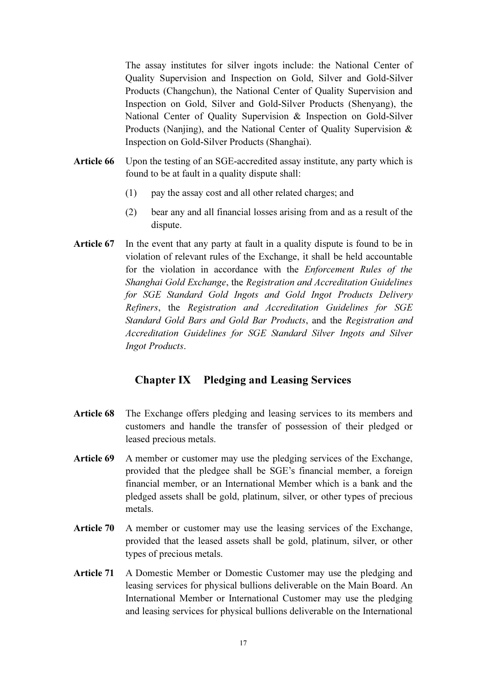The assay institutes for silver ingots include: the National Center of Quality Supervision and Inspection on Gold, Silver and Gold-Silver Products (Changchun), the National Center of Quality Supervision and Inspection on Gold, Silver and Gold-Silver Products (Shenyang), the National Center of Quality Supervision & Inspection on Gold-Silver Products (Nanjing), and the National Center of Quality Supervision & Inspection on Gold-Silver Products (Shanghai).

- Article 66 Upon the testing of an SGE-accredited assay institute, any party which is found to be at fault in a quality dispute shall:
	- (1) pay the assay cost and all other related charges; and
	- (2) bear any and all financial losses arising from and as a result of the dispute.
- Article 67 In the event that any party at fault in a quality dispute is found to be in violation of relevant rules of the Exchange, it shall be held accountable for the violation in accordance with the Enforcement Rules of the Shanghai Gold Exchange, the Registration and Accreditation Guidelines for SGE Standard Gold Ingots and Gold Ingot Products Delivery Refiners, the Registration and Accreditation Guidelines for SGE Standard Gold Bars and Gold Bar Products, and the Registration and Accreditation Guidelines for SGE Standard Silver Ingots and Silver Ingot Products.

## Chapter IX Pledging and Leasing Services

- Article 68 The Exchange offers pledging and leasing services to its members and customers and handle the transfer of possession of their pledged or leased precious metals.
- Article 69 A member or customer may use the pledging services of the Exchange, provided that the pledgee shall be SGE's financial member, a foreign financial member, or an International Member which is a bank and the pledged assets shall be gold, platinum, silver, or other types of precious metals.
- Article 70 A member or customer may use the leasing services of the Exchange, provided that the leased assets shall be gold, platinum, silver, or other types of precious metals.
- Article 71 A Domestic Member or Domestic Customer may use the pledging and leasing services for physical bullions deliverable on the Main Board. An International Member or International Customer may use the pledging and leasing services for physical bullions deliverable on the International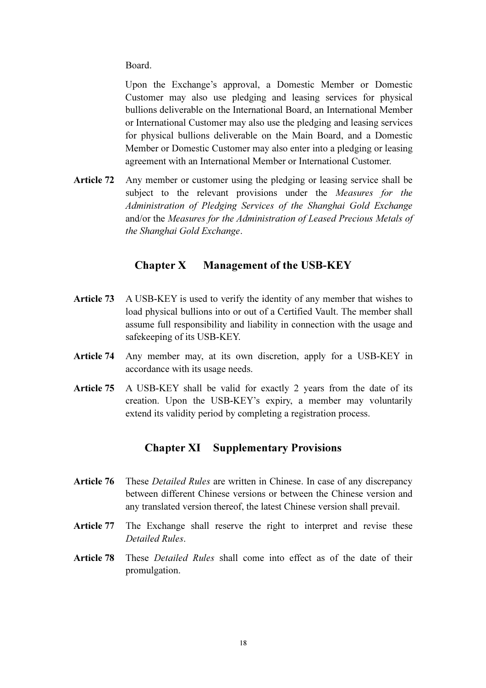Board.

 Upon the Exchange's approval, a Domestic Member or Domestic Customer may also use pledging and leasing services for physical bullions deliverable on the International Board, an International Member or International Customer may also use the pledging and leasing services for physical bullions deliverable on the Main Board, and a Domestic Member or Domestic Customer may also enter into a pledging or leasing agreement with an International Member or International Customer.

Article 72 Any member or customer using the pledging or leasing service shall be subject to the relevant provisions under the *Measures for the* Administration of Pledging Services of the Shanghai Gold Exchange and/or the Measures for the Administration of Leased Precious Metals of the Shanghai Gold Exchange.

# Chapter X Management of the USB-KEY

- Article 73 A USB-KEY is used to verify the identity of any member that wishes to load physical bullions into or out of a Certified Vault. The member shall assume full responsibility and liability in connection with the usage and safekeeping of its USB-KEY.
- Article 74 Any member may, at its own discretion, apply for a USB-KEY in accordance with its usage needs.
- Article 75 A USB-KEY shall be valid for exactly 2 years from the date of its creation. Upon the USB-KEY's expiry, a member may voluntarily extend its validity period by completing a registration process.

# Chapter XI Supplementary Provisions

- Article 76 These *Detailed Rules* are written in Chinese. In case of any discrepancy between different Chinese versions or between the Chinese version and any translated version thereof, the latest Chinese version shall prevail.
- Article 77 The Exchange shall reserve the right to interpret and revise these Detailed Rules.
- Article 78 These *Detailed Rules* shall come into effect as of the date of their promulgation.